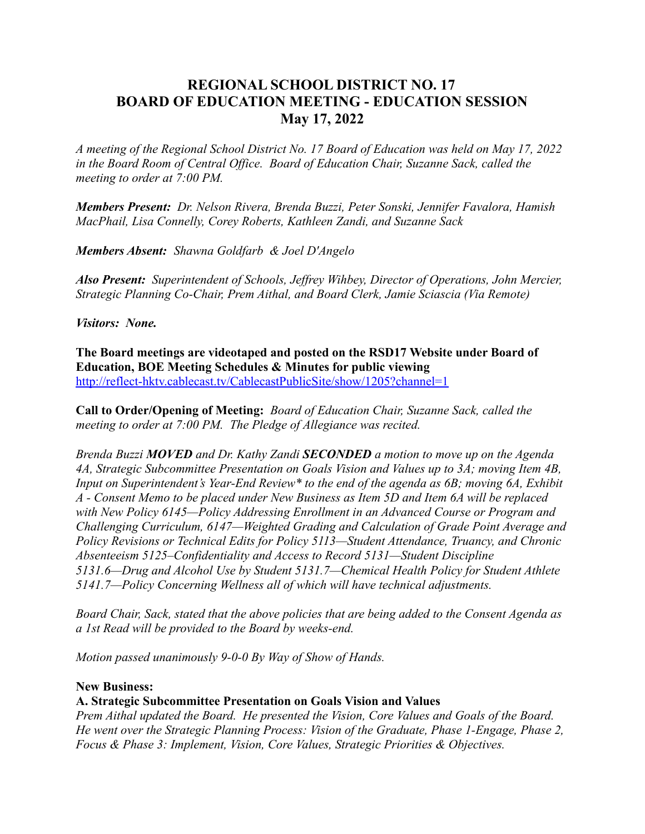# **REGIONAL SCHOOL DISTRICT NO. 17 BOARD OF EDUCATION MEETING - EDUCATION SESSION May 17, 2022**

*A meeting of the Regional School District No. 17 Board of Education was held on May 17, 2022 in the Board Room of Central Office. Board of Education Chair, Suzanne Sack, called the meeting to order at 7:00 PM.*

*Members Present: Dr. Nelson Rivera, Brenda Buzzi, Peter Sonski, Jennifer Favalora, Hamish MacPhail, Lisa Connelly, Corey Roberts, Kathleen Zandi, and Suzanne Sack*

*Members Absent: Shawna Goldfarb & Joel D'Angelo*

*Also Present: Superintendent of Schools, Jeffrey Wihbey, Director of Operations, John Mercier, Strategic Planning Co-Chair, Prem Aithal, and Board Clerk, Jamie Sciascia (Via Remote)*

*Visitors: None.*

**The Board meetings are videotaped and posted on the RSD17 Website under Board of Education, BOE Meeting Schedules & Minutes for public viewing** http://reflect-hktv.cablecast.tv/CablecastPublicSite/show/1205?channel=1

**Call to Order/Opening of Meeting:** *Board of Education Chair, Suzanne Sack, called the meeting to order at 7:00 PM. The Pledge of Allegiance was recited.*

*Brenda Buzzi MOVED and Dr. Kathy Zandi SECONDED a motion to move up on the Agenda 4A, Strategic Subcommittee Presentation on Goals Vision and Values up to 3A; moving Item 4B, Input on Superintendent's Year-End Review\* to the end of the agenda as 6B; moving 6A, Exhibit A - Consent Memo to be placed under New Business as Item 5D and Item 6A will be replaced with New Policy 6145—Policy Addressing Enrollment in an Advanced Course or Program and Challenging Curriculum, 6147—Weighted Grading and Calculation of Grade Point Average and Policy Revisions or Technical Edits for Policy 5113—Student Attendance, Truancy, and Chronic Absenteeism 5125–Confidentiality and Access to Record 5131—Student Discipline 5131.6—Drug and Alcohol Use by Student 5131.7—Chemical Health Policy for Student Athlete 5141.7—Policy Concerning Wellness all of which will have technical adjustments.*

*Board Chair, Sack, stated that the above policies that are being added to the Consent Agenda as a 1st Read will be provided to the Board by weeks-end.*

*Motion passed unanimously 9-0-0 By Way of Show of Hands.*

## **New Business:**

## **A. Strategic Subcommittee Presentation on Goals Vision and Values**

*Prem Aithal updated the Board. He presented the Vision, Core Values and Goals of the Board. He went over the Strategic Planning Process: Vision of the Graduate, Phase 1-Engage, Phase 2, Focus & Phase 3: Implement, Vision, Core Values, Strategic Priorities & Objectives.*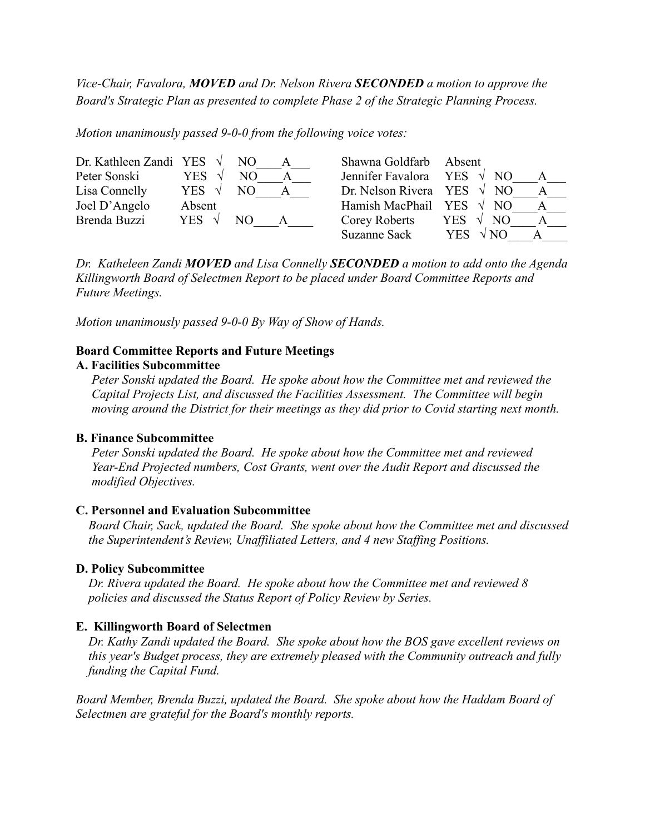*Vice-Chair, Favalora, MOVED and Dr. Nelson Rivera SECONDED a motion to approve the Board's Strategic Plan as presented to complete Phase 2 of the Strategic Planning Process.*

*Motion unanimously passed 9-0-0 from the following voice votes:*

| Dr. Kathleen Zandi YES $\sqrt{}$ |                | NO. | Shawna Goldfarb Absent |                                            |  |
|----------------------------------|----------------|-----|------------------------|--------------------------------------------|--|
| Peter Sonski                     | YES.           | NO. | Jennifer Favalora      | YES $\sqrt{NQ}$                            |  |
| Lisa Connelly                    | YES $\sqrt{ }$ | NО  | Dr. Nelson Rivera YES  | $\sqrt{NQ}$                                |  |
| Joel D'Angelo                    | Absent         |     | Hamish MacPhail YES    | NO.                                        |  |
| Brenda Buzzi                     | YES $\sqrt{ }$ | NO. | Corey Roberts          | $\sqrt{ }$<br>N <sub>O</sub><br><b>YES</b> |  |
|                                  |                |     | <b>Suzanne Sack</b>    | <b>YES</b>                                 |  |

*Dr. Katheleen Zandi MOVED and Lisa Connelly SECONDED a motion to add onto the Agenda Killingworth Board of Selectmen Report to be placed under Board Committee Reports and Future Meetings.*

*Motion unanimously passed 9-0-0 By Way of Show of Hands.*

## **Board Committee Reports and Future Meetings**

#### **A. Facilities Subcommittee**

*Peter Sonski updated the Board. He spoke about how the Committee met and reviewed the Capital Projects List, and discussed the Facilities Assessment. The Committee will begin moving around the District for their meetings as they did prior to Covid starting next month.*

#### **B. Finance Subcommittee**

*Peter Sonski updated the Board. He spoke about how the Committee met and reviewed Year-End Projected numbers, Cost Grants, went over the Audit Report and discussed the modified Objectives.*

## **C. Personnel and Evaluation Subcommittee**

*Board Chair, Sack, updated the Board. She spoke about how the Committee met and discussed the Superintendent's Review, Unaffiliated Letters, and 4 new Staffing Positions.*

## **D. Policy Subcommittee**

*Dr. Rivera updated the Board. He spoke about how the Committee met and reviewed 8 policies and discussed the Status Report of Policy Review by Series.*

## **E. Killingworth Board of Selectmen**

*Dr. Kathy Zandi updated the Board. She spoke about how the BOS gave excellent reviews on this year's Budget process, they are extremely pleased with the Community outreach and fully funding the Capital Fund.*

*Board Member, Brenda Buzzi, updated the Board. She spoke about how the Haddam Board of Selectmen are grateful for the Board's monthly reports.*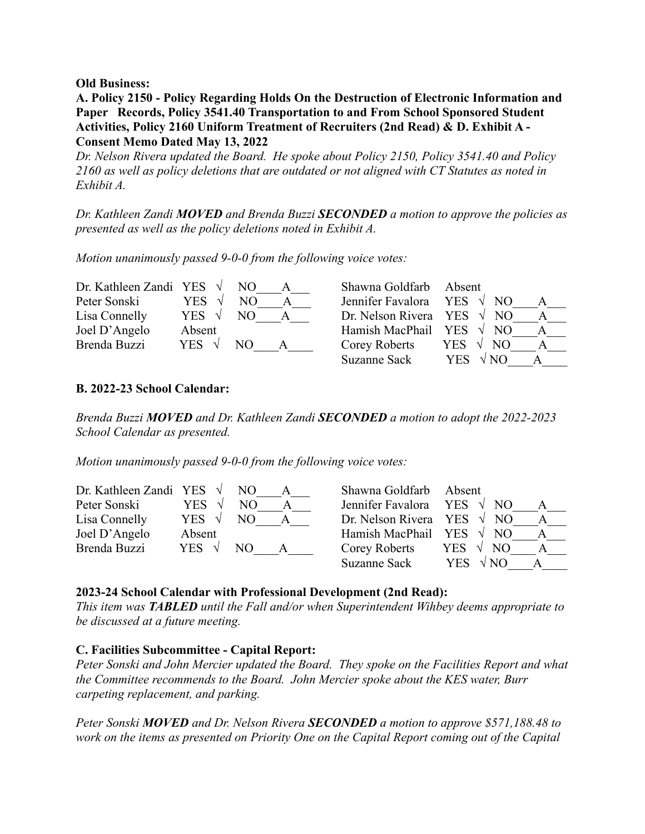**Old Business:**

**A. Policy 2150 - Policy Regarding Holds On the Destruction of Electronic Information and Paper Records, Policy 3541.40 Transportation to and From School Sponsored Student Activities, Policy 2160 Uniform Treatment of Recruiters (2nd Read) & D. Exhibit A - Consent Memo Dated May 13, 2022**

*Dr. Nelson Rivera updated the Board. He spoke about Policy 2150, Policy 3541.40 and Policy 2160 as well as policy deletions that are outdated or not aligned with CT Statutes as noted in Exhibit A.*

*Dr. Kathleen Zandi MOVED and Brenda Buzzi SECONDED a motion to approve the policies as presented as well as the policy deletions noted in Exhibit A.*

*Motion unanimously passed 9-0-0 from the following voice votes:*

| Dr. Kathleen Zandi YES $\sqrt{}$ |                | NO. | Shawna Goldfarb Absent            |                           |  |
|----------------------------------|----------------|-----|-----------------------------------|---------------------------|--|
| Peter Sonski                     | YES.           | NO. | Jennifer Favalora YES $\sqrt{NQ}$ |                           |  |
| Lisa Connelly                    | YES $\sqrt{ }$ | NO. | Dr. Nelson Rivera YES $\sqrt{NO}$ |                           |  |
| Joel D'Angelo                    | Absent         |     | Hamish MacPhail YES               | $\sqrt{ }$<br>N()         |  |
| Brenda Buzzi                     | YES $\sqrt{ }$ | NO. | Corey Roberts                     | NO.<br>YES.               |  |
|                                  |                |     | Suzanne Sack                      | $\sqrt{NO}$<br><b>YES</b> |  |

## **B. 2022-23 School Calendar:**

*Brenda Buzzi MOVED and Dr. Kathleen Zandi SECONDED a motion to adopt the 2022-2023 School Calendar as presented.*

*Motion unanimously passed 9-0-0 from the following voice votes:*

| Dr. Kathleen Zandi YES $\sqrt{}$ |                | NO. | Shawna Goldfarb Absent            |                                  |  |
|----------------------------------|----------------|-----|-----------------------------------|----------------------------------|--|
| Peter Sonski                     | YES.           | NΟ  | Jennifer Favalora YES $\sqrt{NQ}$ |                                  |  |
| Lisa Connelly                    | YES $\sqrt{ }$ | NO. | Dr. Nelson Rivera YES $\sqrt{NQ}$ |                                  |  |
| Joel D'Angelo                    | Absent         |     | Hamish MacPhail YES $\sqrt{NO}$   |                                  |  |
| Brenda Buzzi                     | YES $\sqrt{ }$ | NО  | Corey Roberts                     | YES $\sqrt{ }$<br>N <sub>O</sub> |  |
|                                  |                |     | <b>Suzanne Sack</b>               | $\sqrt{NO}$<br><b>YES</b>        |  |

#### **2023-24 School Calendar with Professional Development (2nd Read):**

*This item was TABLED until the Fall and/or when Superintendent Wihbey deems appropriate to be discussed at a future meeting.*

## **C. Facilities Subcommittee - Capital Report:**

*Peter Sonski and John Mercier updated the Board. They spoke on the Facilities Report and what the Committee recommends to the Board. John Mercier spoke about the KES water, Burr carpeting replacement, and parking.*

*Peter Sonski MOVED and Dr. Nelson Rivera SECONDED a motion to approve \$571,188.48 to work on the items as presented on Priority One on the Capital Report coming out of the Capital*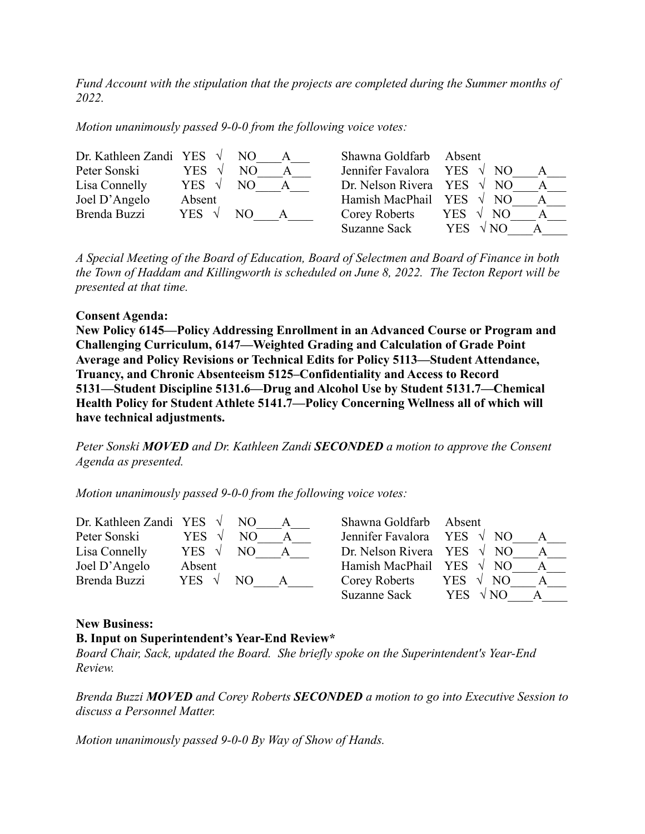*Fund Account with the stipulation that the projects are completed during the Summer months of 2022.*

*Motion unanimously passed 9-0-0 from the following voice votes:*

| Dr. Kathleen Zandi YES $\sqrt{}$ |                | NO. | Shawna Goldfarb Absent |                                            |  |
|----------------------------------|----------------|-----|------------------------|--------------------------------------------|--|
| Peter Sonski                     | YES.           | NO. | Jennifer Favalora      | YES $\sqrt{NQ}$                            |  |
| Lisa Connelly                    | YES $\sqrt{ }$ | NО  | Dr. Nelson Rivera YES  | $\sqrt{NQ}$                                |  |
| Joel D'Angelo                    | Absent         |     | Hamish MacPhail YES    | NO                                         |  |
| Brenda Buzzi                     | YES $\sqrt{ }$ | NO. | Corey Roberts          | N <sub>O</sub><br>$\sqrt{ }$<br><b>YES</b> |  |
|                                  |                |     | <b>Suzanne Sack</b>    | <b>YES</b>                                 |  |

*A Special Meeting of the Board of Education, Board of Selectmen and Board of Finance in both the Town of Haddam and Killingworth is scheduled on June 8, 2022. The Tecton Report will be presented at that time.*

#### **Consent Agenda:**

**New Policy 6145—Policy Addressing Enrollment in an Advanced Course or Program and Challenging Curriculum, 6147—Weighted Grading and Calculation of Grade Point Average and Policy Revisions or Technical Edits for Policy 5113—Student Attendance, Truancy, and Chronic Absenteeism 5125–Confidentiality and Access to Record 5131—Student Discipline 5131.6—Drug and Alcohol Use by Student 5131.7—Chemical Health Policy for Student Athlete 5141.7—Policy Concerning Wellness all of which will have technical adjustments.**

*Peter Sonski MOVED and Dr. Kathleen Zandi SECONDED a motion to approve the Consent Agenda as presented.*

*Motion unanimously passed 9-0-0 from the following voice votes:*

| Dr. Kathleen Zandi YES $\sqrt{}$ |                | NO. | Shawna Goldfarb Absent            |                           |  |
|----------------------------------|----------------|-----|-----------------------------------|---------------------------|--|
| Peter Sonski                     | <b>YES</b>     | NΟ  | Jennifer Favalora YES $\sqrt{}$   | NO                        |  |
| Lisa Connelly                    | YES $\sqrt{ }$ |     | Dr. Nelson Rivera YES $\sqrt{NO}$ |                           |  |
| Joel D'Angelo                    | Absent         |     | Hamish MacPhail YES               | $\sqrt{ }$<br>NO.         |  |
| Brenda Buzzi                     | YES $\sqrt{ }$ | NO. | Corey Roberts                     | YES.<br>NO.               |  |
|                                  |                |     | <b>Suzanne Sack</b>               | $\sqrt{NQ}$<br><b>YES</b> |  |

## **New Business:**

## **B. Input on Superintendent's Year-End Review\***

*Board Chair, Sack, updated the Board. She briefly spoke on the Superintendent's Year-End Review.*

*Brenda Buzzi MOVED and Corey Roberts SECONDED a motion to go into Executive Session to discuss a Personnel Matter.*

*Motion unanimously passed 9-0-0 By Way of Show of Hands.*